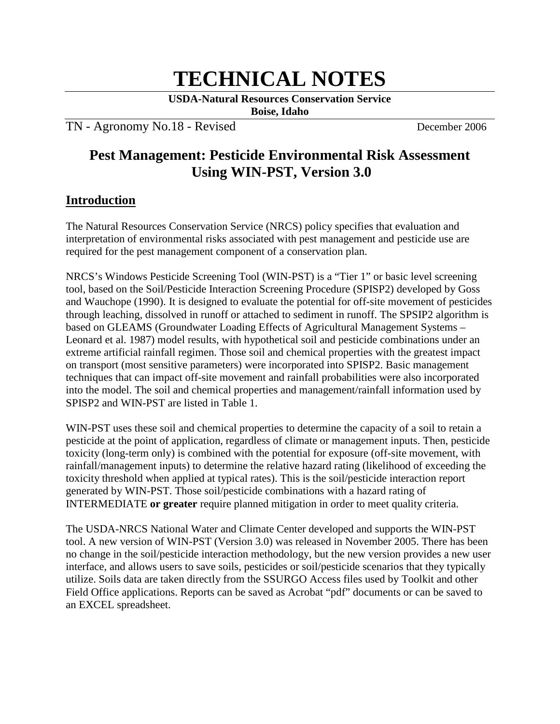# **TECHNICAL NOTES**

**USDA-Natural Resources Conservation Service**

**Boise, Idaho**

TN - Agronomy No.18 - RevisedDecember 2006

# **Pest Management: Pesticide Environmental Risk Assessment Using WIN-PST, Version 3.0**

### **Introduction**

The Natural Resources Conservation Service (NRCS) policy specifies that evaluation and interpretation of environmental risks associated with pest management and pesticide use are required for the pest management component of a conservation plan.

NRCS's Windows Pesticide Screening Tool (WIN-PST) is a "Tier 1" or basic level screening tool, based on the Soil/Pesticide Interaction Screening Procedure (SPISP2) developed by Goss and Wauchope (1990). It is designed to evaluate the potential for off-site movement of pesticides through leaching, dissolved in runoff or attached to sediment in runoff. The SPSIP2 algorithm is based on GLEAMS (Groundwater Loading Effects of Agricultural Management Systems – Leonard et al. 1987) model results, with hypothetical soil and pesticide combinations under an extreme artificial rainfall regimen. Those soil and chemical properties with the greatest impact on transport (most sensitive parameters) were incorporated into SPISP2. Basic management techniques that can impact off-site movement and rainfall probabilities were also incorporated into the model. The soil and chemical properties and management/rainfall information used by SPISP2 and WIN-PST are listed in Table 1.

WIN-PST uses these soil and chemical properties to determine the capacity of a soil to retain a pesticide at the point of application, regardless of climate or management inputs. Then, pesticide toxicity (long-term only) is combined with the potential for exposure (off-site movement, with rainfall/management inputs) to determine the relative hazard rating (likelihood of exceeding the toxicity threshold when applied at typical rates). This is the soil/pesticide interaction report generated by WIN-PST. Those soil/pesticide combinations with a hazard rating of INTERMEDIATE **or greater** require planned mitigation in order to meet quality criteria.

The USDA-NRCS National Water and Climate Center developed and supports the WIN-PST tool. A new version of WIN-PST (Version 3.0) was released in November 2005. There has been no change in the soil/pesticide interaction methodology, but the new version provides a new user interface, and allows users to save soils, pesticides or soil/pesticide scenarios that they typically utilize. Soils data are taken directly from the SSURGO Access files used by Toolkit and other Field Office applications. Reports can be saved as Acrobat "pdf" documents or can be saved to an EXCEL spreadsheet.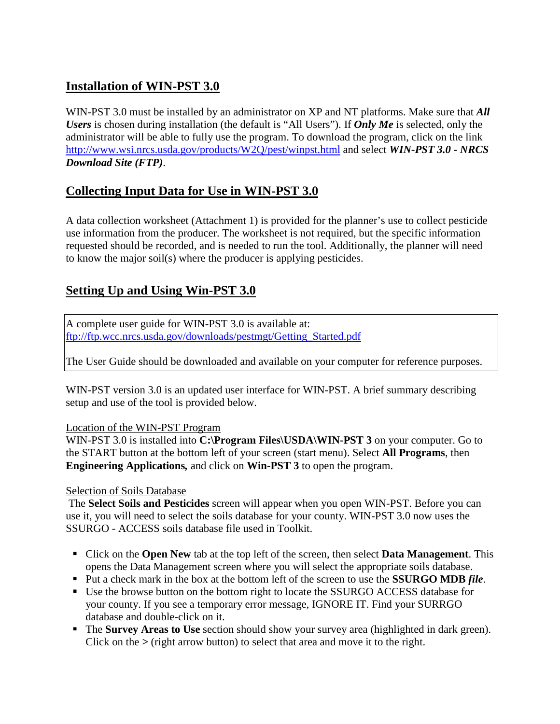# **Installation of WIN-PST 3.0**

WIN-PST 3.0 must be installed by an administrator on XP and NT platforms. Make sure that **All** *Users* is chosen during installation (the default is "All Users"). If *Only Me* is selected, only the administrator will be able to fully use the program. To download the program, click on the link <http://www.wsi.nrcs.usda.gov/products/W2Q/pest/winpst.html> and select *WIN-PST 3.0 - NRCS Download Site (FTP)*.

# **Collecting Input Data for Use in WIN-PST 3.0**

A data collection worksheet (Attachment 1) is provided for the planner's use to collect pesticide use information from the producer. The worksheet is not required, but the specific information requested should be recorded, and is needed to run the tool. Additionally, the planner will need to know the major soil(s) where the producer is applying pesticides.

# **Setting Up and Using Win-PST 3.0**

A complete user guide for WIN-PST 3.0 is available at: [ftp://ftp.wcc.nrcs.usda.gov/downloads/pestmgt/Getting\\_Started.pdf](ftp://ftp.wcc.nrcs.usda.gov/downloads/pestmgt/Getting_Started.pdf)

The User Guide should be downloaded and available on your computer for reference purposes.

WIN-PST version 3.0 is an updated user interface for WIN-PST. A brief summary describing setup and use of the tool is provided below.

#### Location of the WIN-PST Program

WIN-PST 3.0 is installed into **C:\Program Files\USDA\WIN-PST 3** on your computer. Go to the START button at the bottom left of your screen (start menu). Select **All Programs**, then **Engineering Applications***,* and click on **Win-PST 3** to open the program.

#### Selection of Soils Database

The **Select Soils and Pesticides** screen will appear when you open WIN-PST. Before you can use it, you will need to select the soils database for your county. WIN-PST 3.0 now uses the SSURGO - ACCESS soils database file used in Toolkit.

- Click on the **Open New** tab at the top left of the screen, then select **Data Management**. This opens the Data Management screen where you will select the appropriate soils database.
- Put a check mark in the box at the bottom left of the screen to use the **SSURGO MDB** *file*.
- Use the browse button on the bottom right to locate the SSURGO ACCESS database for your county. If you see a temporary error message, IGNORE IT. Find your SURRGO database and double-click on it.
- The **Survey Areas to Use** section should show your survey area (highlighted in dark green). Click on the *>* (right arrow button) to select that area and move it to the right.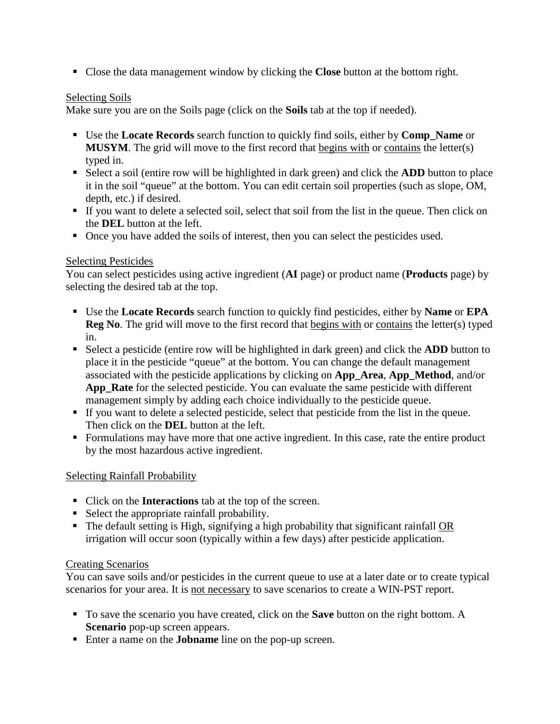Close the data management window by clicking the **Close** button at the bottom right.

#### Selecting Soils

Make sure you are on the Soils page (click on the **Soils** tab at the top if needed).

- Use the **Locate Records** search function to quickly find soils, either by **Comp\_Name** or MUSYM. The grid will move to the first record that begins with or contains the letter(s) typed in.
- Select a soil (entire row will be highlighted in dark green) and click the **ADD** button to place it in the soil "queue" at the bottom. You can edit certain soil properties (such as slope, OM, depth, etc.) if desired.
- If you want to delete a selected soil, select that soil from the list in the queue. Then click on the **DEL** button at the left.
- Once you have added the soils of interest, then you can select the pesticides used.

#### Selecting Pesticides

You can select pesticides using active ingredient (**AI** page) or product name (**Products** page) by selecting the desired tab at the top.

- Use the **Locate Records** search function to quickly find pesticides, either by **Name** or **EPA Reg No**. The grid will move to the first record that **begins with** or contains the letter(s) typed in.
- Select a pesticide (entire row will be highlighted in dark green) and click the **ADD** button to place it in the pesticide "queue" at the bottom. You can change the default management associated with the pesticide applications by clicking on **App\_Area**, **App\_Method**, and/or **App\_Rate** for the selected pesticide. You can evaluate the same pesticide with different management simply by adding each choice individually to the pesticide queue.
- If you want to delete a selected pesticide, select that pesticide from the list in the queue. Then click on the **DEL** button at the left.
- Formulations may have more that one active ingredient. In this case, rate the entire product by the most hazardous active ingredient.

#### Selecting Rainfall Probability

- Click on the **Interactions** tab at the top of the screen.
- Select the appropriate rainfall probability.
- $\blacksquare$  The default setting is High, signifying a high probability that significant rainfall OR irrigation will occur soon (typically within a few days) after pesticide application.

#### Creating Scenarios

You can save soils and/or pesticides in the current queue to use at a later date or to create typical scenarios for your area. It is not necessary to save scenarios to create a WIN-PST report.

- To save the scenario you have created, click on the **Save** button on the right bottom. A **Scenario** pop-up screen appears.
- Enter a name on the **Johname** line on the pop-up screen.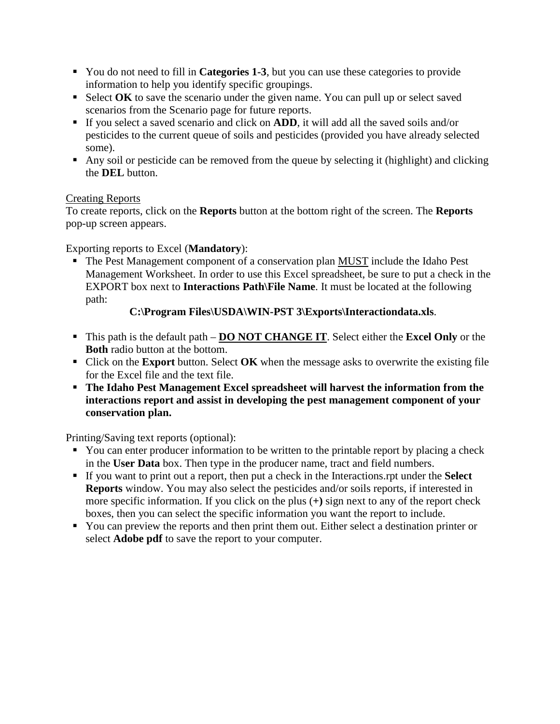- You do not need to fill in **Categories 1-3**, but you can use these categories to provide information to help you identify specific groupings.
- Select **OK** to save the scenario under the given name. You can pull up or select saved scenarios from the Scenario page for future reports.
- If you select a saved scenario and click on **ADD**, it will add all the saved soils and/or pesticides to the current queue of soils and pesticides (provided you have already selected some).
- Any soil or pesticide can be removed from the queue by selecting it (highlight) and clicking the **DEL** button.

#### Creating Reports

To create reports, click on the **Reports** button at the bottom right of the screen. The **Reports** pop-up screen appears.

Exporting reports to Excel (**Mandatory**):

The Pest Management component of a conservation plan **MUST** include the Idaho Pest Management Worksheet. In order to use this Excel spreadsheet, be sure to put a check in the EXPORT box next to **Interactions Path\File Name**. It must be located at the following path:

#### **C:\Program Files\USDA\WIN-PST 3\Exports\Interactiondata.xls**.

- This path is the default path **DO NOT CHANGE IT** . Select either the **Excel Only** or the **Both** radio button at the bottom.
- Click on the **Export** button. Select **OK** when the message asks to overwrite the existing file for the Excel file and the text file.
- **The Idaho Pest Management Excel spreadsheet will harvest the information from the interactions report and assist in developing the pest management component of your conservation plan.**

Printing/Saving text reports (optional):

- You can enter producer information to be written to the printable report by placing a check in the **User Data** box. Then type in the producer name, tract and field numbers.
- If you want to print out a report, then put a check in the Interactions.rpt under the **Select Reports** window. You may also select the pesticides and/or soils reports, if interested in more specific information. If you click on the plus (**+)** sign next to any of the report check boxes, then you can select the specific information you want the report to include.
- You can preview the reports and then print them out. Either select a destination printer or select **Adobe pdf** to save the report to your computer.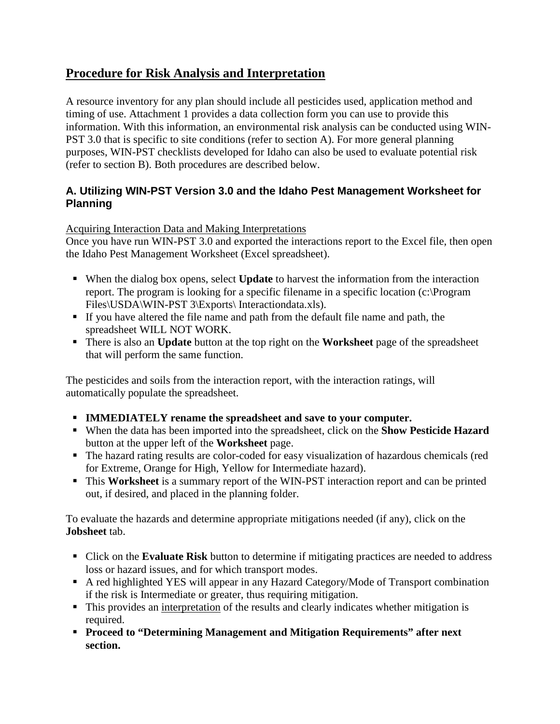## **Procedure for Risk Analysis and Interpretation**

A resource inventory for any plan should include all pesticides used, application method and timing of use. Attachment 1 provides a data collection form you can use to provide this information. With this information, an environmental risk analysis can be conducted using WIN-PST 3.0 that is specific to site conditions (refer to section A). For more general planning purposes, WIN-PST checklists developed for Idaho can also be used to evaluate potential risk (refer to section B). Both procedures are described below.

#### **A. Utilizing WIN-PST Version 3.0 and the Idaho Pest Management Worksheet for Planning**

#### Acquiring Interaction Data and Making Interpretations

Once you have run WIN-PST 3.0 and exported the interactions report to the Excel file, then open the Idaho Pest Management Worksheet (Excel spreadsheet).

- When the dialog box opens, select **Update** to harvest the information from the interaction report. The program is looking for a specific filename in a specific location (c:\Program Files\USDA\WIN-PST 3\Exports\ Interactiondata.xls).
- If you have altered the file name and path from the default file name and path, the spreadsheet WILL NOT WORK.
- There is also an **Update** button at the top right on the **Worksheet** page of the spreadsheet that will perform the same function.

The pesticides and soils from the interaction report, with the interaction ratings, will automatically populate the spreadsheet.

- **IMMEDIATELY rename the spreadsheet and save to your computer.**
- When the data has been imported into the spreadsheet, click on the **Show Pesticide Hazard** button at the upper left of the **Worksheet** page.
- The hazard rating results are color-coded for easy visualization of hazardous chemicals (red for Extreme, Orange for High, Yellow for Intermediate hazard).
- This **Worksheet** is a summary report of the WIN-PST interaction report and can be printed out, if desired, and placed in the planning folder.

To evaluate the hazards and determine appropriate mitigations needed (if any), click on the **Jobsheet** tab.

- Click on the **Evaluate Risk** button to determine if mitigating practices are needed to address loss or hazard issues, and for which transport modes.
- A red highlighted YES will appear in any Hazard Category/Mode of Transport combination if the risk is Intermediate or greater, thus requiring mitigation.
- This provides an interpretation of the results and clearly indicates whether mitigation is required.
- **Proceed to "Determining Management and Mitigation Requirements" after next section.**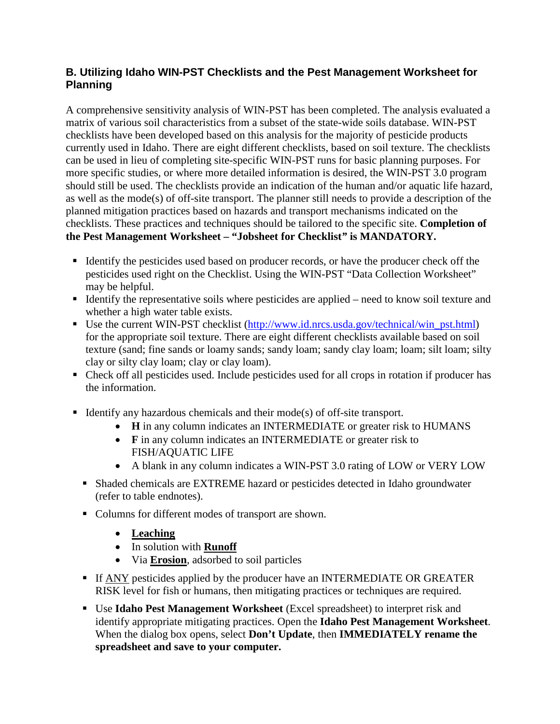#### **B. Utilizing Idaho WIN-PST Checklists and the Pest Management Worksheet for Planning**

A comprehensive sensitivity analysis of WIN-PST has been completed. The analysis evaluated a matrix of various soil characteristics from a subset of the state-wide soils database. WIN-PST checklists have been developed based on this analysis for the majority of pesticide products currently used in Idaho. There are eight different checklists, based on soil texture. The checklists can be used in lieu of completing site-specific WIN-PST runs for basic planning purposes. For more specific studies, or where more detailed information is desired, the WIN-PST 3.0 program should still be used. The checklists provide an indication of the human and/or aquatic life hazard, as well as the mode(s) of off-site transport. The planner still needs to provide a description of the planned mitigation practices based on hazards and transport mechanisms indicated on the checklists. These practices and techniques should be tailored to the specific site. **Completion of the Pest Management Worksheet – "Jobsheet for Checklist***"* **is MANDATORY.**

- Identify the pesticides used based on producer records, or have the producer check off the pesticides used right on the Checklist. Using the WIN-PST "Data Collection Worksheet" may be helpful.
- Identify the representative soils where pesticides are applied need to know soil texture and whether a high water table exists.
- Use the current WIN-PST checklist [\(http://www.id.nrcs.usda.gov/technical/win\\_pst.html\)](http://www.id.nrcs.usda.gov/technical/win_pst.html) for the appropriate soil texture. There are eight different checklists available based on soil texture (sand; fine sands or loamy sands; sandy loam; sandy clay loam; loam; silt loam; silty clay or silty clay loam; clay or clay loam).
- Check off all pesticides used. Include pesticides used for all crops in rotation if producer has the information.
- Identify any hazardous chemicals and their mode(s) of off-site transport.
	- **H** in any column indicates an INTERMEDIATE or greater risk to HUMANS
	- **F** in any column indicates an INTERMEDIATE or greater risk to FISH/AQUATIC LIFE
	- A blank in any column indicates a WIN-PST 3.0 rating of LOW or VERY LOW
	- Shaded chemicals are EXTREME hazard or pesticides detected in Idaho groundwater (refer to table endnotes).
	- Columns for different modes of transport are shown.
		- **Leaching**
		- In solution with **Runoff**
		- Via **Erosion** , adsorbed to soil particles
	- If ANY pesticides applied by the producer have an INTERMEDIATE OR GREATER RISK level for fish or humans, then mitigating practices or techniques are required.
	- Use **Idaho Pest Management Worksheet** (Excel spreadsheet) to interpret risk and identify appropriate mitigating practices. Open the **Idaho Pest Management Worksheet**. When the dialog box opens, select **Don't Update**, then **IMMEDIATELY rename the spreadsheet and save to your computer.**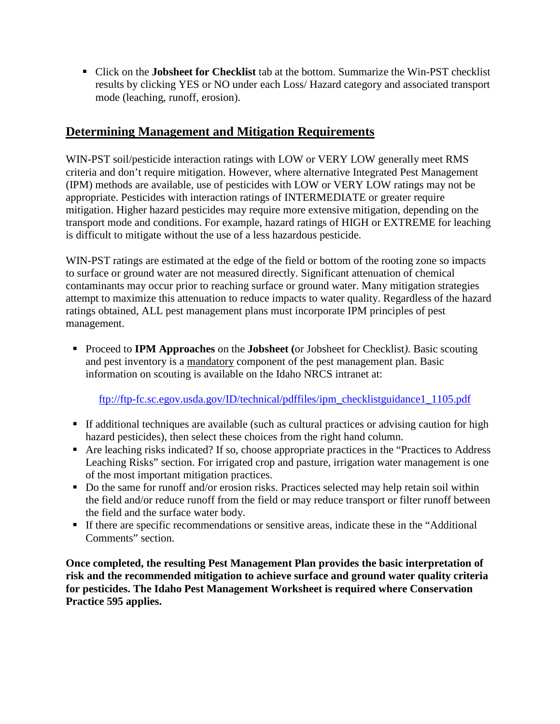Click on the **Jobsheet for Checklist** tab at the bottom. Summarize the Win-PST checklist results by clicking YES or NO under each Loss/ Hazard category and associated transport mode (leaching, runoff, erosion).

### **Determining Management and Mitigation Requirements**

WIN-PST soil/pesticide interaction ratings with LOW or VERY LOW generally meet RMS criteria and don't require mitigation. However, where alternative Integrated Pest Management (IPM) methods are available, use of pesticides with LOW or VERY LOW ratings may not be appropriate. Pesticides with interaction ratings of INTERMEDIATE or greater require mitigation. Higher hazard pesticides may require more extensive mitigation, depending on the transport mode and conditions. For example, hazard ratings of HIGH or EXTREME for leaching is difficult to mitigate without the use of a less hazardous pesticide.

WIN-PST ratings are estimated at the edge of the field or bottom of the rooting zone so impacts to surface or ground water are not measured directly. Significant attenuation of chemical contaminants may occur prior to reaching surface or ground water. Many mitigation strategies attempt to maximize this attenuation to reduce impacts to water quality. Regardless of the hazard ratings obtained, ALL pest management plans must incorporate IPM principles of pest management.

 Proceed to **IPM Approaches** on the **Jobsheet (**or Jobsheet for Checklist*)*. Basic scouting and pest inventory is a mandatory component of the pest management plan. Basic information on scouting is available on the Idaho NRCS intranet at:

[ftp://ftp-fc.sc.egov.usda.gov/ID/technical/pdffiles/ipm\\_checklistguidance1\\_1105.pdf](ftp://ftp-fc.sc.egov.usda.gov/ID/technical/pdffiles/ipm_checklistguidance1_1105.pdf)

- If additional techniques are available (such as cultural practices or advising caution for high hazard pesticides), then select these choices from the right hand column.
- Are leaching risks indicated? If so, choose appropriate practices in the "Practices to Address Leaching Risks" section. For irrigated crop and pasture, irrigation water management is one of the most important mitigation practices.
- Do the same for runoff and/or erosion risks. Practices selected may help retain soil within the field and/or reduce runoff from the field or may reduce transport or filter runoff between the field and the surface water body.
- If there are specific recommendations or sensitive areas, indicate these in the "Additional Comments" section.

**Once completed, the resulting Pest Management Plan provides the basic interpretation of risk and the recommended mitigation to achieve surface and ground water quality criteria for pesticides. The Idaho Pest Management Worksheet is required where Conservation Practice 595 applies.**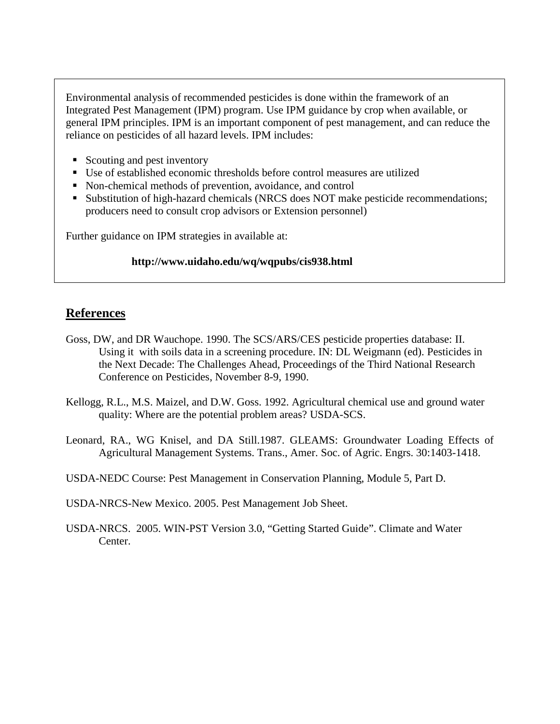Environmental analysis of recommended pesticides is done within the framework of an Integrated Pest Management (IPM) program. Use IPM guidance by crop when available, or general IPM principles. IPM is an important component of pest management, and can reduce the reliance on pesticides of all hazard levels. IPM includes:

- Scouting and pest inventory
- Use of established economic thresholds before control measures are utilized
- Non-chemical methods of prevention, avoidance, and control
- Substitution of high-hazard chemicals (NRCS does NOT make pesticide recommendations; producers need to consult crop advisors or Extension personnel)

Further guidance on IPM strategies in available at:

#### **http://www.uidaho.edu/wq/wqpubs/cis938.html**

## **References**

- Goss, DW, and DR Wauchope. 1990. The SCS/ARS/CES pesticide properties database: II. Using it with soils data in a screening procedure. IN: DL Weigmann (ed). Pesticides in the Next Decade: The Challenges Ahead, Proceedings of the Third National Research Conference on Pesticides, November 8-9, 1990.
- Kellogg, R.L., M.S. Maizel, and D.W. Goss. 1992. Agricultural chemical use and ground water quality: Where are the potential problem areas? USDA-SCS.
- Leonard, RA., WG Knisel, and DA Still.1987. GLEAMS: Groundwater Loading Effects of Agricultural Management Systems. Trans., Amer. Soc. of Agric. Engrs. 30:1403-1418.

USDA-NEDC Course: Pest Management in Conservation Planning, Module 5, Part D.

USDA-NRCS-New Mexico. 2005. Pest Management Job Sheet.

USDA-NRCS. 2005. WIN-PST Version 3.0, "Getting Started Guide". Climate and Water Center.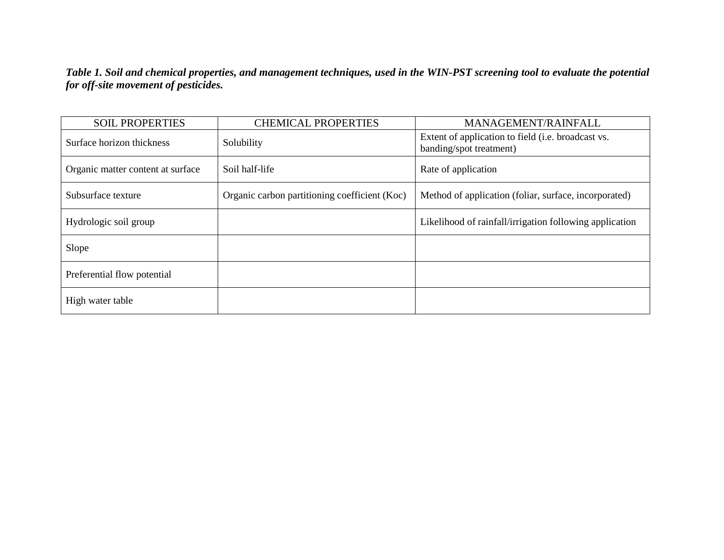*Table 1. Soil and chemical properties, and management techniques, used in the WIN-PST screening tool to evaluate the potential for off-site movement of pesticides.*

| <b>SOIL PROPERTIES</b>            | <b>CHEMICAL PROPERTIES</b>                    | MANAGEMENT/RAINFALL                                                           |  |
|-----------------------------------|-----------------------------------------------|-------------------------------------------------------------------------------|--|
| Surface horizon thickness         | Solubility                                    | Extent of application to field (i.e. broadcast vs.<br>banding/spot treatment) |  |
| Organic matter content at surface | Soil half-life                                | Rate of application                                                           |  |
| Subsurface texture                | Organic carbon partitioning coefficient (Koc) | Method of application (foliar, surface, incorporated)                         |  |
| Hydrologic soil group             |                                               | Likelihood of rainfall/irrigation following application                       |  |
| Slope                             |                                               |                                                                               |  |
| Preferential flow potential       |                                               |                                                                               |  |
| High water table                  |                                               |                                                                               |  |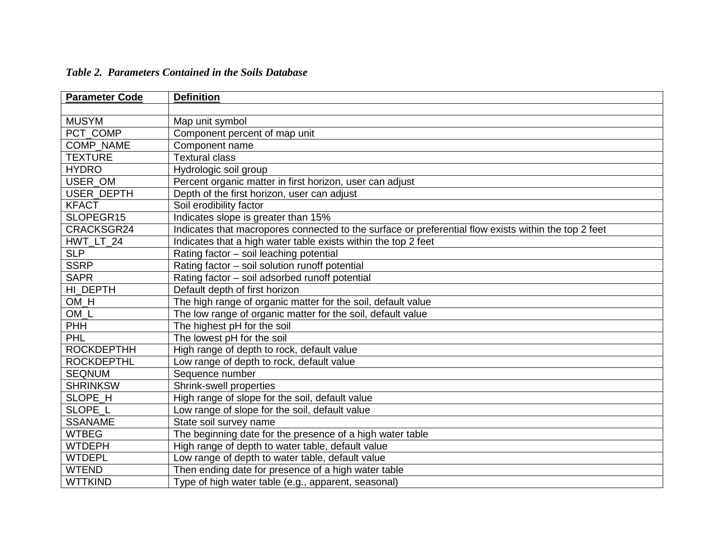| <b>Parameter Code</b> | <b>Definition</b>                                                                                    |
|-----------------------|------------------------------------------------------------------------------------------------------|
|                       |                                                                                                      |
| <b>MUSYM</b>          | Map unit symbol                                                                                      |
| PCT COMP              | Component percent of map unit                                                                        |
| <b>COMP NAME</b>      | Component name                                                                                       |
| <b>TEXTURE</b>        | <b>Textural class</b>                                                                                |
| <b>HYDRO</b>          | Hydrologic soil group                                                                                |
| USER OM               | Percent organic matter in first horizon, user can adjust                                             |
| <b>USER DEPTH</b>     | Depth of the first horizon, user can adjust                                                          |
| <b>KFACT</b>          | Soil erodibility factor                                                                              |
| SLOPEGR15             | Indicates slope is greater than 15%                                                                  |
| CRACKSGR24            | Indicates that macropores connected to the surface or preferential flow exists within the top 2 feet |
| HWT LT 24             | Indicates that a high water table exists within the top 2 feet                                       |
| <b>SLP</b>            | Rating factor - soil leaching potential                                                              |
| <b>SSRP</b>           | Rating factor - soil solution runoff potential                                                       |
| <b>SAPR</b>           | Rating factor - soil adsorbed runoff potential                                                       |
| HI_DEPTH              | Default depth of first horizon                                                                       |
| OM_H                  | The high range of organic matter for the soil, default value                                         |
| $OM_L$                | The low range of organic matter for the soil, default value                                          |
| <b>PHH</b>            | The highest pH for the soil                                                                          |
| <b>PHL</b>            | The lowest pH for the soil                                                                           |
| <b>ROCKDEPTHH</b>     | High range of depth to rock, default value                                                           |
| <b>ROCKDEPTHL</b>     | Low range of depth to rock, default value                                                            |
| <b>SEQNUM</b>         | Sequence number                                                                                      |
| <b>SHRINKSW</b>       | Shrink-swell properties                                                                              |
| SLOPE_H               | High range of slope for the soil, default value                                                      |
| SLOPE L               | Low range of slope for the soil, default value                                                       |
| <b>SSANAME</b>        | State soil survey name                                                                               |
| <b>WTBEG</b>          | The beginning date for the presence of a high water table                                            |
| <b>WTDEPH</b>         | High range of depth to water table, default value                                                    |
| <b>WTDEPL</b>         | Low range of depth to water table, default value                                                     |
| <b>WTEND</b>          | Then ending date for presence of a high water table                                                  |
| <b>WTTKIND</b>        | Type of high water table (e.g., apparent, seasonal)                                                  |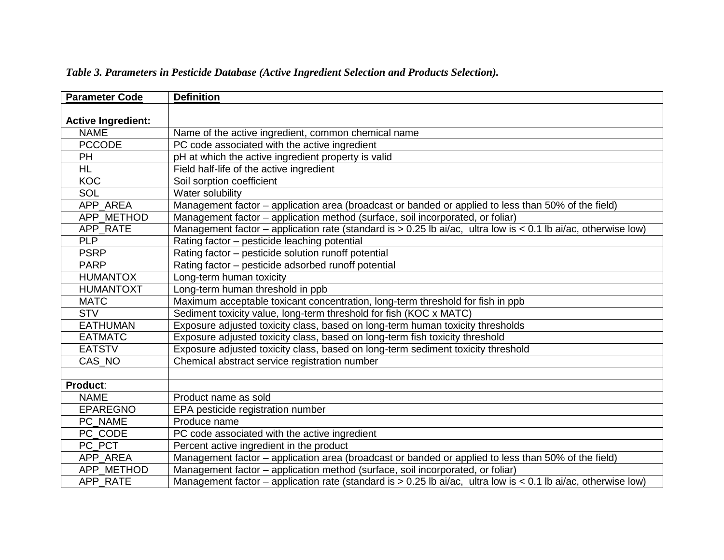| <b>Parameter Code</b>     | <b>Definition</b>                                                                                                  |
|---------------------------|--------------------------------------------------------------------------------------------------------------------|
|                           |                                                                                                                    |
| <b>Active Ingredient:</b> |                                                                                                                    |
| <b>NAME</b>               | Name of the active ingredient, common chemical name                                                                |
| <b>PCCODE</b>             | PC code associated with the active ingredient                                                                      |
| PH                        | pH at which the active ingredient property is valid                                                                |
| H <sub>L</sub>            | Field half-life of the active ingredient                                                                           |
| <b>KOC</b>                | Soil sorption coefficient                                                                                          |
| SOL                       | Water solubility                                                                                                   |
| APP AREA                  | Management factor - application area (broadcast or banded or applied to less than 50% of the field)                |
| APP_METHOD                | Management factor - application method (surface, soil incorporated, or foliar)                                     |
| APP RATE                  | Management factor – application rate (standard is $> 0.25$ lb ai/ac, ultra low is $< 0.1$ lb ai/ac, otherwise low) |
| <b>PLP</b>                | Rating factor - pesticide leaching potential                                                                       |
| <b>PSRP</b>               | Rating factor - pesticide solution runoff potential                                                                |
| <b>PARP</b>               | Rating factor – pesticide adsorbed runoff potential                                                                |
| <b>HUMANTOX</b>           | Long-term human toxicity                                                                                           |
| <b>HUMANTOXT</b>          | Long-term human threshold in ppb                                                                                   |
| <b>MATC</b>               | Maximum acceptable toxicant concentration, long-term threshold for fish in ppb                                     |
| <b>STV</b>                | Sediment toxicity value, long-term threshold for fish (KOC x MATC)                                                 |
| <b>EATHUMAN</b>           | Exposure adjusted toxicity class, based on long-term human toxicity thresholds                                     |
| <b>EATMATC</b>            | Exposure adjusted toxicity class, based on long-term fish toxicity threshold                                       |
| <b>EATSTV</b>             | Exposure adjusted toxicity class, based on long-term sediment toxicity threshold                                   |
| CAS NO                    | Chemical abstract service registration number                                                                      |
|                           |                                                                                                                    |
| Product:                  |                                                                                                                    |
| <b>NAME</b>               | Product name as sold                                                                                               |
| <b>EPAREGNO</b>           | EPA pesticide registration number                                                                                  |
| PC NAME                   | Produce name                                                                                                       |
| PC CODE                   | PC code associated with the active ingredient                                                                      |
| PC_PCT                    | Percent active ingredient in the product                                                                           |
| APP_AREA                  | Management factor - application area (broadcast or banded or applied to less than 50% of the field)                |
| APP METHOD                | Management factor - application method (surface, soil incorporated, or foliar)                                     |
| APP RATE                  | Management factor – application rate (standard is $> 0.25$ lb ai/ac, ultra low is < 0.1 lb ai/ac, otherwise low)   |

*Table 3. Parameters in Pesticide Database (Active Ingredient Selection and Products Selection).*